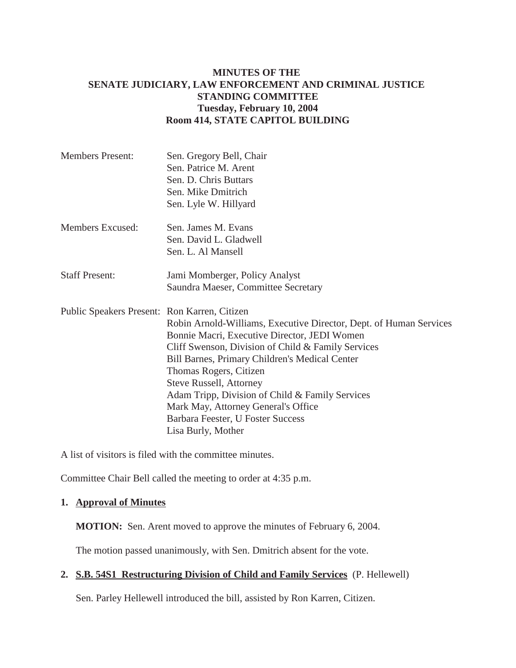## **MINUTES OF THE SENATE JUDICIARY, LAW ENFORCEMENT AND CRIMINAL JUSTICE STANDING COMMITTEE Tuesday, February 10, 2004 Room 414, STATE CAPITOL BUILDING**

| <b>Members Present:</b>                      | Sen. Gregory Bell, Chair<br>Sen. Patrice M. Arent<br>Sen. D. Chris Buttars<br>Sen. Mike Dmitrich<br>Sen. Lyle W. Hillyard                                                                                                                                                                                                                                                                                                                   |
|----------------------------------------------|---------------------------------------------------------------------------------------------------------------------------------------------------------------------------------------------------------------------------------------------------------------------------------------------------------------------------------------------------------------------------------------------------------------------------------------------|
| Members Excused:                             | Sen. James M. Evans<br>Sen. David L. Gladwell<br>Sen. L. Al Mansell                                                                                                                                                                                                                                                                                                                                                                         |
| <b>Staff Present:</b>                        | Jami Momberger, Policy Analyst<br>Saundra Maeser, Committee Secretary                                                                                                                                                                                                                                                                                                                                                                       |
| Public Speakers Present: Ron Karren, Citizen | Robin Arnold-Williams, Executive Director, Dept. of Human Services<br>Bonnie Macri, Executive Director, JEDI Women<br>Cliff Swenson, Division of Child & Family Services<br>Bill Barnes, Primary Children's Medical Center<br>Thomas Rogers, Citizen<br><b>Steve Russell, Attorney</b><br>Adam Tripp, Division of Child & Family Services<br>Mark May, Attorney General's Office<br>Barbara Feester, U Foster Success<br>Lisa Burly, Mother |

A list of visitors is filed with the committee minutes.

Committee Chair Bell called the meeting to order at 4:35 p.m.

## **1. Approval of Minutes**

**MOTION:** Sen. Arent moved to approve the minutes of February 6, 2004.

The motion passed unanimously, with Sen. Dmitrich absent for the vote.

# **2. S.B. 54S1 Restructuring Division of Child and Family Services** (P. Hellewell)

Sen. Parley Hellewell introduced the bill, assisted by Ron Karren, Citizen.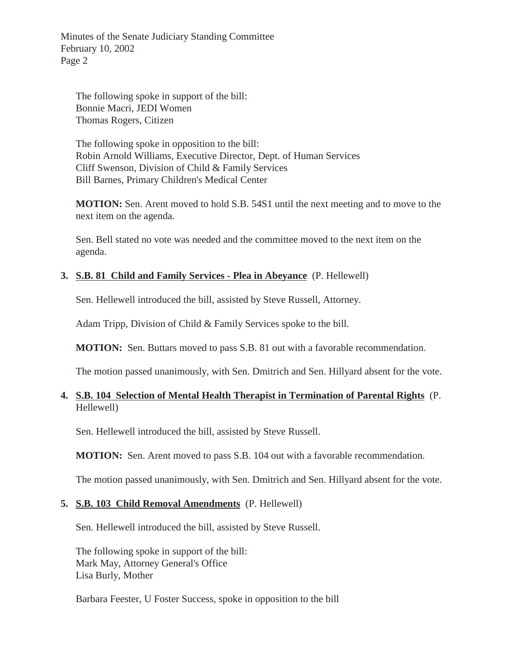Minutes of the Senate Judiciary Standing Committee February 10, 2002 Page 2

The following spoke in support of the bill: Bonnie Macri, JEDI Women Thomas Rogers, Citizen

The following spoke in opposition to the bill: Robin Arnold Williams, Executive Director, Dept. of Human Services Cliff Swenson, Division of Child & Family Services Bill Barnes, Primary Children's Medical Center

**MOTION:** Sen. Arent moved to hold S.B. 54S1 until the next meeting and to move to the next item on the agenda.

Sen. Bell stated no vote was needed and the committee moved to the next item on the agenda.

### **3. S.B. 81 Child and Family Services - Plea in Abeyance** (P. Hellewell)

Sen. Hellewell introduced the bill, assisted by Steve Russell, Attorney.

Adam Tripp, Division of Child & Family Services spoke to the bill.

**MOTION:** Sen. Buttars moved to pass S.B. 81 out with a favorable recommendation.

The motion passed unanimously, with Sen. Dmitrich and Sen. Hillyard absent for the vote.

## **4. S.B. 104 Selection of Mental Health Therapist in Termination of Parental Rights** (P. Hellewell)

Sen. Hellewell introduced the bill, assisted by Steve Russell.

**MOTION:** Sen. Arent moved to pass S.B. 104 out with a favorable recommendation.

The motion passed unanimously, with Sen. Dmitrich and Sen. Hillyard absent for the vote.

#### **5. S.B. 103 Child Removal Amendments** (P. Hellewell)

Sen. Hellewell introduced the bill, assisted by Steve Russell.

The following spoke in support of the bill: Mark May, Attorney General's Office Lisa Burly, Mother

Barbara Feester, U Foster Success, spoke in opposition to the bill